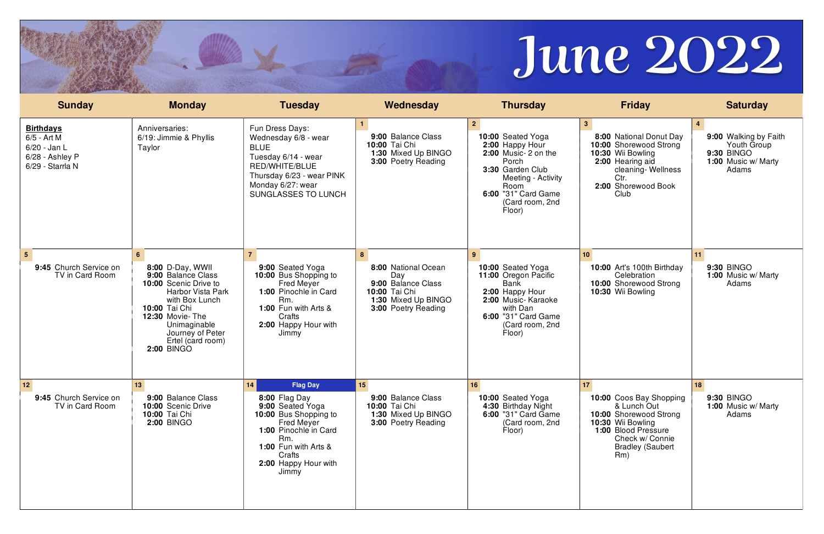| <b>Sunday</b>                                                                            | <b>Monday</b>                                                                                                         | <b>Tuesday</b>                                                                                                                                                              | Wednesday                                                                         | <b>Thursday</b>                                                                                                                                                                              | <b>Friday</b>                                                                                                                                                            | <b>Saturday</b>                                                                           |
|------------------------------------------------------------------------------------------|-----------------------------------------------------------------------------------------------------------------------|-----------------------------------------------------------------------------------------------------------------------------------------------------------------------------|-----------------------------------------------------------------------------------|----------------------------------------------------------------------------------------------------------------------------------------------------------------------------------------------|--------------------------------------------------------------------------------------------------------------------------------------------------------------------------|-------------------------------------------------------------------------------------------|
| <b>Birthdays</b><br>$6/5$ - Art M<br>6/20 - Jan L<br>6/28 - Ashley P<br>6/29 - Starrla N | Anniversaries:<br>6/19: Jimmie & Phyllis<br>Taylor                                                                    | Fun Dress Days:<br>Wednesday 6/8 - wear<br><b>BLUE</b><br>Tuesday 6/14 - wear<br>RED/WHITE/BLUE<br>Thursday 6/23 - wear PINK<br>Monday 6/27: wear<br>SUNGLASSES TO LUNCH    | 9:00 Balance Class<br>10:00 Tai Chi<br>1:30 Mixed Up BINGO<br>3:00 Poetry Reading | 2 <sup>7</sup><br>10:00 Seated Yoga<br>2:00 Happy Hour<br>2:00 Music-2 on the<br>Porch<br>3:30 Garden Club<br>Meeting - Activity<br>Room<br>6:00 "31" Card Game<br>(Card room, 2nd<br>Floor) | 3 <sup>1</sup><br>8:00 National Donut Day<br>10:00 Shorewood Strong<br>10:30 Wii Bowling<br>2:00 Hearing aid<br>cleaning-Wellness<br>Ctr.<br>2:00 Shorewood Book<br>Club | 9:00 Walking by Faith<br>Youth Group<br><b>9:30 BINGO</b><br>1:00 Music w/ Marty<br>Adams |
| $5\overline{5}$<br>9:45 Church Service on<br>TV in Card Room                             | $6 \overline{6}$<br>8:00 D-Day, WWII<br>9:00 Balance Class                                                            | $\overline{7}$<br>9:00 Seated Yoga<br>10:00 Bus Shopping to                                                                                                                 | 8<br>8:00 National Ocean<br>Day                                                   | 9 <sup>1</sup><br>10:00 Seated Yoga<br>11:00 Oregon Pacific                                                                                                                                  | 10 <sup>°</sup><br>10:00 Art's 100th Birthday<br>Celebration                                                                                                             | 11<br><b>9:30 BINGO</b><br>1:00 Music w/ Marty                                            |
|                                                                                          | 10:00 Scenic Drive to<br>Harbor Vista Park<br>with Box Lunch                                                          | <b>Fred Meyer</b><br>1:00 Pinochle in Card<br>Rm.                                                                                                                           | 9:00 Balance Class<br>10:00 Tai Chi<br>1:30 Mixed Up BINGO                        | <b>Bank</b><br>2:00 Happy Hour<br>2:00 Music-Karaoke                                                                                                                                         | 10:00 Shorewood Strong<br>10:30 Wii Bowling                                                                                                                              | Adams                                                                                     |
|                                                                                          | 10:00 Tai Chi<br><b>12:30 Movie-The</b><br>Unimaginable<br>Journey of Peter<br>Ertel (card room)<br><b>2:00 BINGO</b> | 1:00 Fun with Arts &<br>Crafts<br>2:00 Happy Hour with<br>Jimmy                                                                                                             | 3:00 Poetry Reading                                                               | with Dan<br>6:00 "31" Card Game<br>(Card room, 2nd<br>Floor)                                                                                                                                 |                                                                                                                                                                          |                                                                                           |
| 12                                                                                       | 13                                                                                                                    | 14<br><b>Flag Day</b>                                                                                                                                                       | 15                                                                                | 16                                                                                                                                                                                           | 17                                                                                                                                                                       | 18                                                                                        |
| 9:45 Church Service on<br>TV in Card Room                                                | 9:00 Balance Class<br>10:00 Scenic Drive<br>10:00 Tai Chi<br><b>2:00 BINGO</b>                                        | 8:00 Flag Day<br>9:00 Seated Yoga<br>10:00 Bus Shopping to<br>Fred Meyer<br>1:00 Pinochle in Card<br>Rm.<br>1:00 Fun with Arts &<br>Crafts<br>2:00 Happy Hour with<br>Jimmy | 9:00 Balance Class<br>10:00 Tai Chi<br>1:30 Mixed Up BINGO<br>3:00 Poetry Reading | 10:00 Seated Yoga<br>4:30 Birthday Night<br>6:00 "31" Card Game<br>(Card room, 2nd<br>Floor)                                                                                                 | 10:00 Coos Bay Shopping<br>& Lunch Out<br>10:00 Shorewood Strong<br>10:30 Wii Bowling<br>1:00 Blood Pressure<br>Check w/ Connie<br><b>Bradley (Saubert</b><br>Rm)        | <b>9:30 BINGO</b><br>1:00 Music w/ Marty<br>Adams                                         |
|                                                                                          |                                                                                                                       |                                                                                                                                                                             |                                                                                   |                                                                                                                                                                                              |                                                                                                                                                                          |                                                                                           |